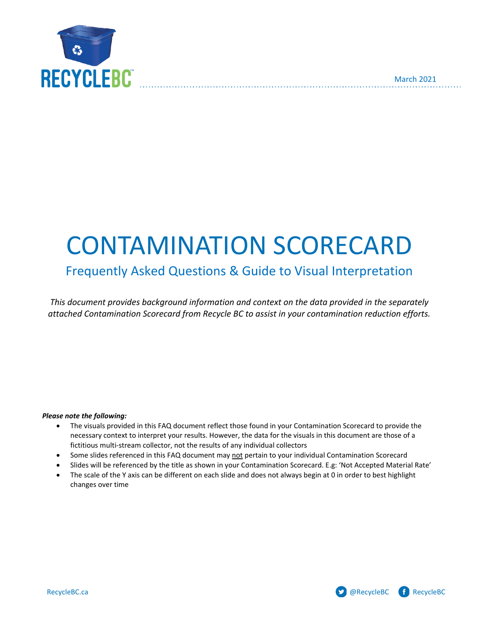

# CONTAMINATION SCORECARD

# Frequently Asked Questions & Guide to Visual Interpretation

*This document provides background information and context on the data provided in the separately attached Contamination Scorecard from Recycle BC to assist in your contamination reduction efforts.*

#### *Please note the following:*

- The visuals provided in this FAQ document reflect those found in your Contamination Scorecard to provide the necessary context to interpret your results. However, the data for the visuals in this document are those of a fictitious multi-stream collector, not the results of any individual collectors
- Some slides referenced in this FAQ document may not pertain to your individual Contamination Scorecard
- Slides will be referenced by the title as shown in your Contamination Scorecard. E.g: 'Not Accepted Material Rate'
- The scale of the Y axis can be different on each slide and does not always begin at 0 in order to best highlight changes over time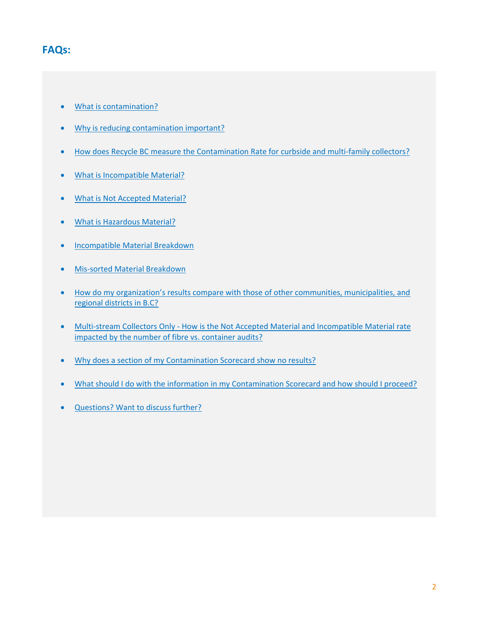# <span id="page-1-1"></span>**FAQs:**

- [What is contamination?](#page-1-0)
- [Why is reducing contamination important?](#page-2-0)
- [How does Recycle BC measure the Contamination Rate for curbside and multi-family collectors?](#page-3-0)
- [What is Incompatible Material?](#page-4-0)
- [What is Not Accepted Material?](#page-5-0)
- What [is Hazardous Material?](#page-8-0)
- [Incompatible Material Breakdown](#page-10-0)
- [Mis-sorted Material Breakdown](#page-12-0)
- How do my organization's [results compare with those of other communities, municipalities, and](#page-13-0)  [regional districts in B.C?](#page-13-0)
- Multi-stream Collectors Only [How is the Not Accepted Material](#page-13-0) and Incompatible Material rate [impacted by the number of fibre vs. container audits?](#page-13-0)
- Why does [a section of my Contamination Scorecard show](#page-17-0) no results?
- [What should I do with the information in my Contamination Scorecard and how should I proceed?](#page-18-0)
- <span id="page-1-0"></span>• [Questions? Want to discuss further?](#page-21-0)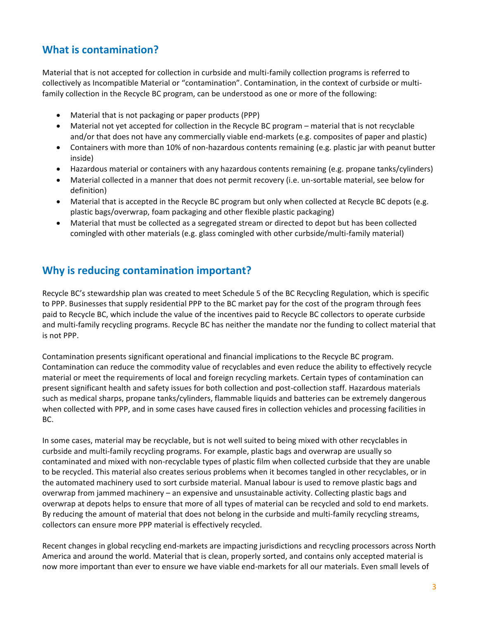## **What is contamination?**

Material that is not accepted for collection in curbside and multi-family collection programs is referred to collectively as Incompatible Material or "contamination". Contamination, in the context of curbside or multifamily collection in the Recycle BC program, can be understood as one or more of the following:

- Material that is not packaging or paper products (PPP)
- Material not yet accepted for collection in the Recycle BC program material that is not recyclable and/or that does not have any commercially viable end-markets (e.g. composites of paper and plastic)
- Containers with more than 10% of non-hazardous contents remaining (e.g. plastic jar with peanut butter inside)
- Hazardous material or containers with any hazardous contents remaining (e.g. propane tanks/cylinders)
- Material collected in a manner that does not permit recovery (i.e. un-sortable material, see below for definition)
- Material that is accepted in the Recycle BC program but only when collected at Recycle BC depots (e.g. plastic bags/overwrap, foam packaging and other flexible plastic packaging)
- Material that must be collected as a segregated stream or directed to depot but has been collected comingled with other materials (e.g. glass comingled with other curbside/multi-family material)

## <span id="page-2-0"></span>**Why is reducing contamination important?**

Recycle BC's stewardship plan was created to meet Schedule 5 of the BC Recycling Regulation, which is specific to PPP. Businesses that supply residential PPP to the BC market pay for the cost of the program through fees paid to Recycle BC, which include the value of the incentives paid to Recycle BC collectors to operate curbside and multi-family recycling programs. Recycle BC has neither the mandate nor the funding to collect material that is not PPP.

Contamination presents significant operational and financial implications to the Recycle BC program. Contamination can reduce the commodity value of recyclables and even reduce the ability to effectively recycle material or meet the requirements of local and foreign recycling markets. Certain types of contamination can present significant health and safety issues for both collection and post-collection staff. Hazardous materials such as medical sharps, propane tanks/cylinders, flammable liquids and batteries can be extremely dangerous when collected with PPP, and in some cases have caused fires in collection vehicles and processing facilities in BC.

In some cases, material may be recyclable, but is not well suited to being mixed with other recyclables in curbside and multi-family recycling programs. For example, plastic bags and overwrap are usually so contaminated and mixed with non-recyclable types of plastic film when collected curbside that they are unable to be recycled. This material also creates serious problems when it becomes tangled in other recyclables, or in the automated machinery used to sort curbside material. Manual labour is used to remove plastic bags and overwrap from jammed machinery – an expensive and unsustainable activity. Collecting plastic bags and overwrap at depots helps to ensure that more of all types of material can be recycled and sold to end markets. By reducing the amount of material that does not belong in the curbside and multi-family recycling streams, collectors can ensure more PPP material is effectively recycled.

Recent changes in global recycling end-markets are impacting jurisdictions and recycling processors across North America and around the world. Material that is clean, properly sorted, and contains only accepted material is now more important than ever to ensure we have viable end-markets for all our materials. Even small levels of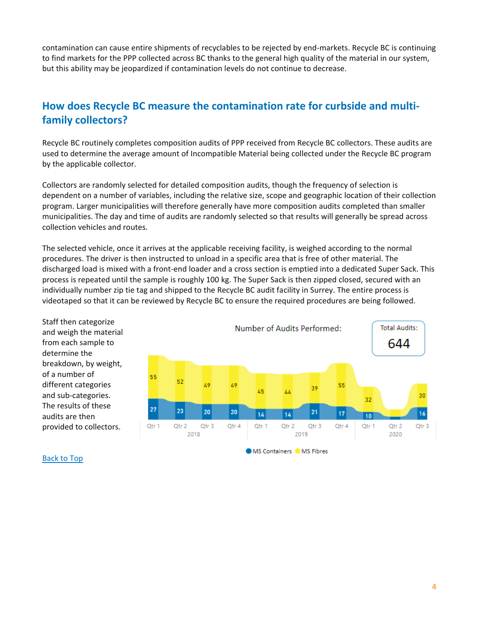contamination can cause entire shipments of recyclables to be rejected by end-markets. Recycle BC is continuing to find markets for the PPP collected across BC thanks to the general high quality of the material in our system, but this ability may be jeopardized if contamination levels do not continue to decrease.

## <span id="page-3-0"></span>**How does Recycle BC measure the contamination rate for curbside and multifamily collectors?**

Recycle BC routinely completes composition audits of PPP received from Recycle BC collectors. These audits are used to determine the average amount of Incompatible Material being collected under the Recycle BC program by the applicable collector.

Collectors are randomly selected for detailed composition audits, though the frequency of selection is dependent on a number of variables, including the relative size, scope and geographic location of their collection program. Larger municipalities will therefore generally have more composition audits completed than smaller municipalities. The day and time of audits are randomly selected so that results will generally be spread across collection vehicles and routes.

The selected vehicle, once it arrives at the applicable receiving facility, is weighed according to the normal procedures. The driver is then instructed to unload in a specific area that is free of other material. The discharged load is mixed with a front-end loader and a cross section is emptied into a dedicated Super Sack. This process is repeated until the sample is roughly 100 kg. The Super Sack is then zipped closed, secured with an individually number zip tie tag and shipped to the Recycle BC audit facility in Surrey. The entire process is videotaped so that it can be reviewed by Recycle BC to ensure the required procedures are being followed.

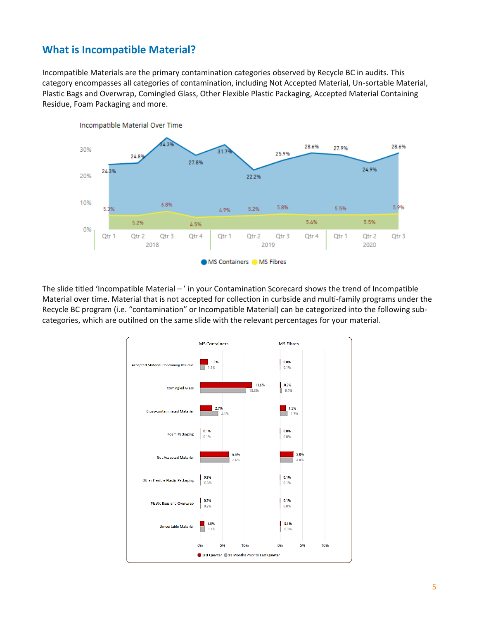## <span id="page-4-0"></span>**What is Incompatible Material?**

Incompatible Materials are the primary contamination categories observed by Recycle BC in audits. This category encompasses all categories of contamination, including Not Accepted Material, Un-sortable Material, Plastic Bags and Overwrap, Comingled Glass, Other Flexible Plastic Packaging, Accepted Material Containing Residue, Foam Packaging and more.



The slide titled 'Incompatible Material – ' in your Contamination Scorecard shows the trend of Incompatible Material over time. Material that is not accepted for collection in curbside and multi-family programs under the Recycle BC program (i.e. "contamination" or Incompatible Material) can be categorized into the following subcategories, which are outilned on the same slide with the relevant percentages for your material.

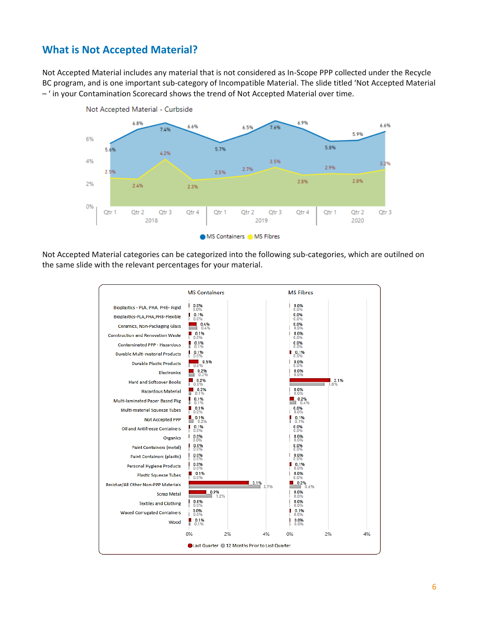## <span id="page-5-0"></span>**What is Not Accepted Material?**

Not Accepted Material includes any material that is not considered as In-Scope PPP collected under the Recycle BC program, and is one important sub-category of Incompatible Material. The slide titled 'Not Accepted Material – ' in your Contamination Scorecard shows the trend of Not Accepted Material over time.



Not Accepted Material categories can be categorized into the following sub-categories, which are outilned on the same slide with the relevant percentages for your material.

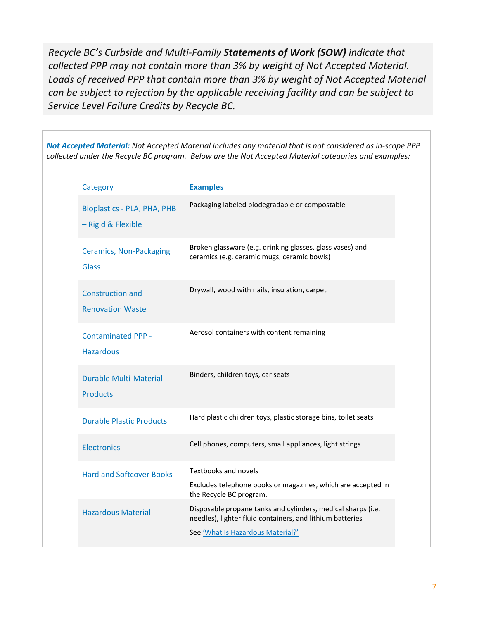*Recycle BC's Curbside and Multi-Family Statements of Work (SOW) indicate that collected PPP may not contain more than 3% by weight of Not Accepted Material. Loads of received PPP that contain more than 3% by weight of Not Accepted Material can be subject to rejection by the applicable receiving facility and can be subject to Service Level Failure Credits by Recycle BC.*

*Not Accepted Material: Not Accepted Material includes any material that is not considered as in-scope PPP collected under the Recycle BC program. Below are the Not Accepted Material categories and examples:* 

| Category                                                 | <b>Examples</b>                                                                                                                                                |
|----------------------------------------------------------|----------------------------------------------------------------------------------------------------------------------------------------------------------------|
| <b>Bioplastics - PLA, PHA, PHB</b><br>- Rigid & Flexible | Packaging labeled biodegradable or compostable                                                                                                                 |
| <b>Ceramics, Non-Packaging</b><br><b>Glass</b>           | Broken glassware (e.g. drinking glasses, glass vases) and<br>ceramics (e.g. ceramic mugs, ceramic bowls)                                                       |
| <b>Construction and</b><br><b>Renovation Waste</b>       | Drywall, wood with nails, insulation, carpet                                                                                                                   |
| <b>Contaminated PPP -</b><br><b>Hazardous</b>            | Aerosol containers with content remaining                                                                                                                      |
| <b>Durable Multi-Material</b><br><b>Products</b>         | Binders, children toys, car seats                                                                                                                              |
| <b>Durable Plastic Products</b>                          | Hard plastic children toys, plastic storage bins, toilet seats                                                                                                 |
| <b>Electronics</b>                                       | Cell phones, computers, small appliances, light strings                                                                                                        |
| <b>Hard and Softcover Books</b>                          | Textbooks and novels<br>Excludes telephone books or magazines, which are accepted in<br>the Recycle BC program.                                                |
| <b>Hazardous Material</b>                                | Disposable propane tanks and cylinders, medical sharps (i.e.<br>needles), lighter fluid containers, and lithium batteries<br>See 'What Is Hazardous Material?' |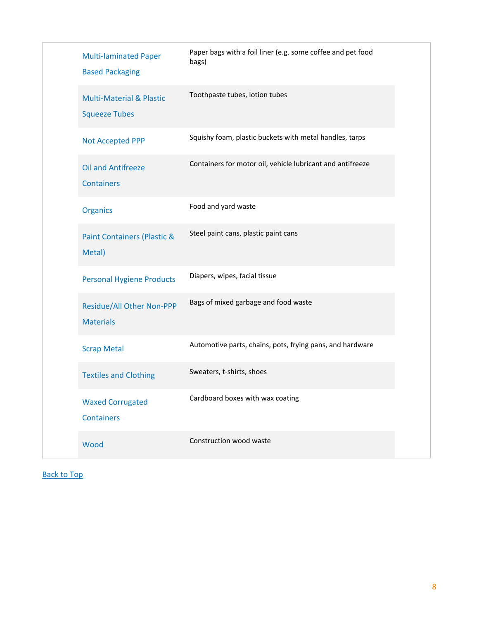|  | <b>Multi-laminated Paper</b><br><b>Based Packaging</b>      | Paper bags with a foil liner (e.g. some coffee and pet food<br>bags) |
|--|-------------------------------------------------------------|----------------------------------------------------------------------|
|  | <b>Multi-Material &amp; Plastic</b><br><b>Squeeze Tubes</b> | Toothpaste tubes, lotion tubes                                       |
|  | <b>Not Accepted PPP</b>                                     | Squishy foam, plastic buckets with metal handles, tarps              |
|  | <b>Oil and Antifreeze</b><br><b>Containers</b>              | Containers for motor oil, vehicle lubricant and antifreeze           |
|  | <b>Organics</b>                                             | Food and yard waste                                                  |
|  | <b>Paint Containers (Plastic &amp;</b><br>Metal)            | Steel paint cans, plastic paint cans                                 |
|  | <b>Personal Hygiene Products</b>                            | Diapers, wipes, facial tissue                                        |
|  | <b>Residue/All Other Non-PPP</b><br><b>Materials</b>        | Bags of mixed garbage and food waste                                 |
|  | <b>Scrap Metal</b>                                          | Automotive parts, chains, pots, frying pans, and hardware            |
|  | <b>Textiles and Clothing</b>                                | Sweaters, t-shirts, shoes                                            |
|  | <b>Waxed Corrugated</b><br><b>Containers</b>                | Cardboard boxes with wax coating                                     |
|  | Wood                                                        | Construction wood waste                                              |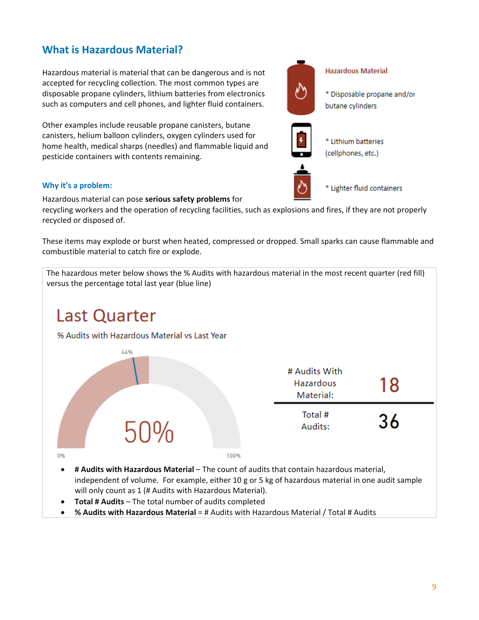<span id="page-8-0"></span>Hazardous material is material that can be dangerous and is not accepted for recycling collection. The most common types are disposable propane cylinders, lithium batteries from electronics such as computers and cell phones, and lighter fluid containers.

Other examples include reusable propane canisters, butane canisters, helium balloon cylinders, oxygen cylinders used for home health, medical sharps (needles) and flammable liquid and pesticide containers with contents remaining.

## **Why it's a problem:**

Hazardous material can pose **serious safety problems** for

recycling workers and the operation of recycling facilities, such as explosions and fires, if they are not properly recycled or disposed of.

These items may explode or burst when heated, compressed or dropped. Small sparks can cause flammable and combustible material to catch fire or explode.





independent of volume. For example, either 10 g or 5 kg of hazardous material in one audit sample will only count as 1 (# Audits with Hazardous Material).

- **Total # Audits** The total number of audits completed
- **% Audits with Hazardous Material** = # Audits with Hazardous Material / Total # Audits

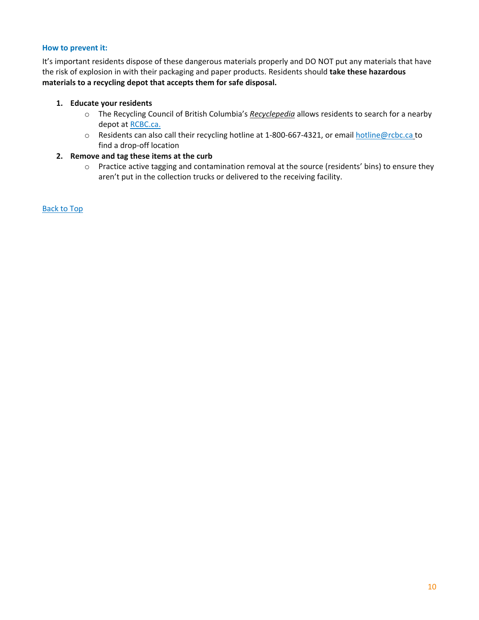#### **How to prevent it:**

It's important residents dispose of these dangerous materials properly and DO NOT put any materials that have the risk of explosion in with their packaging and paper products. Residents should **take these hazardous materials to a recycling depot that accepts them for safe disposal.**

## **1. Educate your residents**

- o The Recycling Council of British Columbia's *Recyclepedia* allows residents to search for a nearby depot at [RCBC.ca.](http://www.rcbc.ca/)
- o Residents can also call their recycling hotline at 1-800-667-4321, or email [hotline@rcbc.ca](mailto:hotline@rcbc.ca) to find a drop-off location

## **2. Remove and tag these items at the curb**

o Practice active tagging and contamination removal at the source (residents' bins) to ensure they aren't put in the collection trucks or delivered to the receiving facility.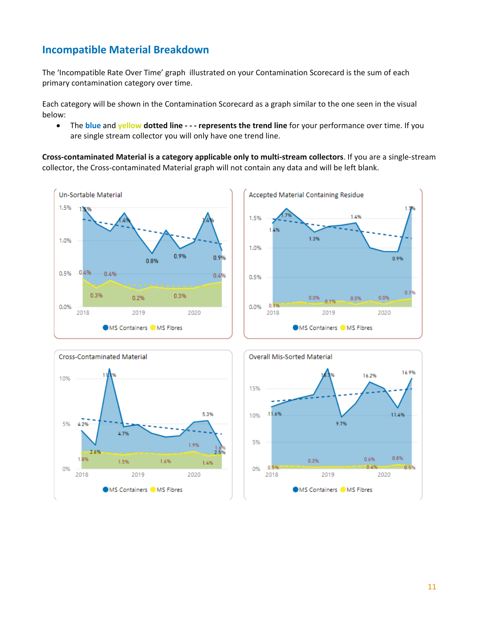# <span id="page-10-0"></span>**Incompatible Material Breakdown**

The 'Incompatible Rate Over Time' graph illustrated on your Contamination Scorecard is the sum of each primary contamination category over time.

Each category will be shown in the Contamination Scorecard as a graph similar to the one seen in the visual below:

• The **blue** and **yellow dotted line - - - represents the trend line** for your performance over time. If you are single stream collector you will only have one trend line.

**Cross-contaminated Material is a category applicable only to multi-stream collectors**. If you are a single-stream collector, the Cross-contaminated Material graph will not contain any data and will be left blank.







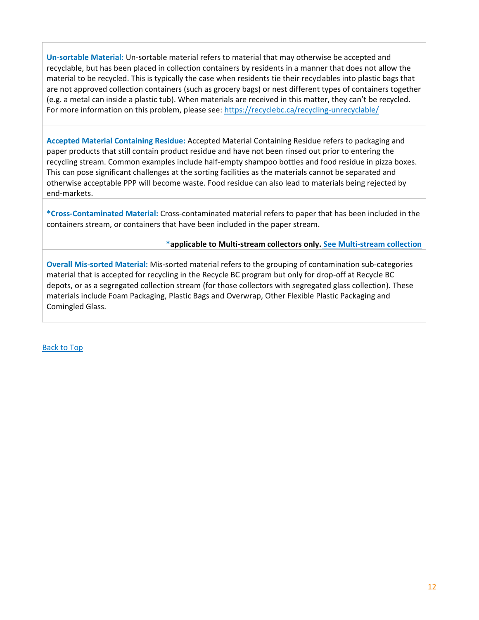**Un-sortable Material:** Un-sortable material refers to material that may otherwise be accepted and recyclable, but has been placed in collection containers by residents in a manner that does not allow the material to be recycled. This is typically the case when residents tie their recyclables into plastic bags that are not approved collection containers (such as grocery bags) or nest different types of containers together (e.g. a metal can inside a plastic tub). When materials are received in this matter, they can't be recycled. For more information on this problem, please see:<https://recyclebc.ca/recycling-unrecyclable/>

**Accepted Material Containing Residue:** Accepted Material Containing Residue refers to packaging and paper products that still contain product residue and have not been rinsed out prior to entering the recycling stream. Common examples include half-empty shampoo bottles and food residue in pizza boxes. This can pose significant challenges at the sorting facilities as the materials cannot be separated and otherwise acceptable PPP will become waste. Food residue can also lead to materials being rejected by end-markets.

**\*Cross-Contaminated Material:** Cross-contaminated material refers to paper that has been included in the containers stream, or containers that have been included in the paper stream.

**\*applicable to Multi-stream collectors only. [See Multi-stream collection](#page-16-0)**

**Overall Mis-sorted Material:** Mis-sorted material refers to the grouping of contamination sub-categories material that is accepted for recycling in the Recycle BC program but only for drop-off at Recycle BC depots, or as a segregated collection stream (for those collectors with segregated glass collection). These materials include Foam Packaging, Plastic Bags and Overwrap, Other Flexible Plastic Packaging and Comingled Glass.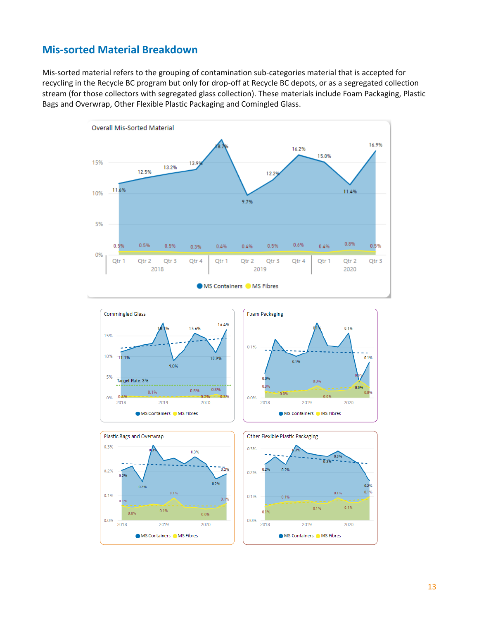## <span id="page-12-0"></span>**Mis-sorted Material Breakdown**

Mis-sorted material refers to the grouping of contamination sub-categories material that is accepted for recycling in the Recycle BC program but only for drop-off at Recycle BC depots, or as a segregated collection stream (for those collectors with segregated glass collection). These materials include Foam Packaging, Plastic Bags and Overwrap, Other Flexible Plastic Packaging and Comingled Glass.









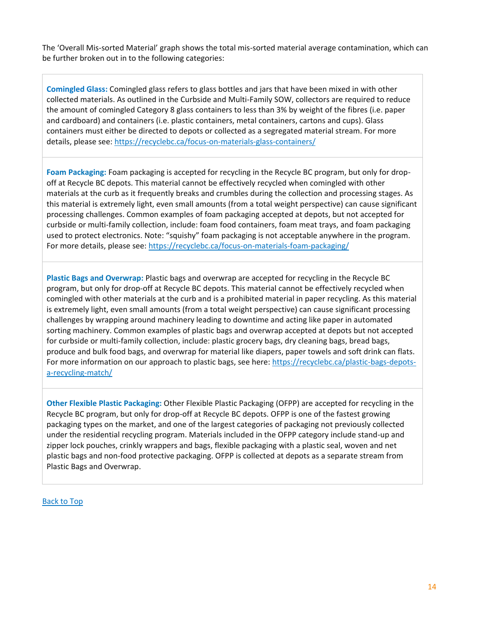The 'Overall Mis-sorted Material' graph shows the total mis-sorted material average contamination, which can be further broken out in to the following categories:

**Comingled Glass:** Comingled glass refers to glass bottles and jars that have been mixed in with other collected materials. As outlined in the Curbside and Multi-Family SOW, collectors are required to reduce the amount of comingled Category 8 glass containers to less than 3% by weight of the fibres (i.e. paper and cardboard) and containers (i.e. plastic containers, metal containers, cartons and cups). Glass containers must either be directed to depots or collected as a segregated material stream. For more details, please see:<https://recyclebc.ca/focus-on-materials-glass-containers/>

**Foam Packaging:** Foam packaging is accepted for recycling in the Recycle BC program, but only for dropoff at Recycle BC depots. This material cannot be effectively recycled when comingled with other materials at the curb as it frequently breaks and crumbles during the collection and processing stages. As this material is extremely light, even small amounts (from a total weight perspective) can cause significant processing challenges. Common examples of foam packaging accepted at depots, but not accepted for curbside or multi-family collection, include: foam food containers, foam meat trays, and foam packaging used to protect electronics. Note: "squishy" foam packaging is not acceptable anywhere in the program. For more details, please see:<https://recyclebc.ca/focus-on-materials-foam-packaging/>

**Plastic Bags and Overwrap:** Plastic bags and overwrap are accepted for recycling in the Recycle BC program, but only for drop-off at Recycle BC depots. This material cannot be effectively recycled when comingled with other materials at the curb and is a prohibited material in paper recycling. As this material is extremely light, even small amounts (from a total weight perspective) can cause significant processing challenges by wrapping around machinery leading to downtime and acting like paper in automated sorting machinery. Common examples of plastic bags and overwrap accepted at depots but not accepted for curbside or multi-family collection, include: plastic grocery bags, dry cleaning bags, bread bags, produce and bulk food bags, and overwrap for material like diapers, paper towels and soft drink can flats. For more information on our approach to plastic bags, see here: [https://recyclebc.ca/plastic-bags-depots](https://recyclebc.ca/plastic-bags-depots-a-recycling-match/)[a-recycling-match/](https://recyclebc.ca/plastic-bags-depots-a-recycling-match/)

<span id="page-13-0"></span>**Other Flexible Plastic Packaging:** Other Flexible Plastic Packaging (OFPP) are accepted for recycling in the Recycle BC program, but only for drop-off at Recycle BC depots. OFPP is one of the fastest growing packaging types on the market, and one of the largest categories of packaging not previously collected under the residential recycling program. Materials included in the OFPP category include stand-up and zipper lock pouches, crinkly wrappers and bags, flexible packaging with a plastic seal, woven and net plastic bags and non-food protective packaging. OFPP is collected at depots as a separate stream from Plastic Bags and Overwrap.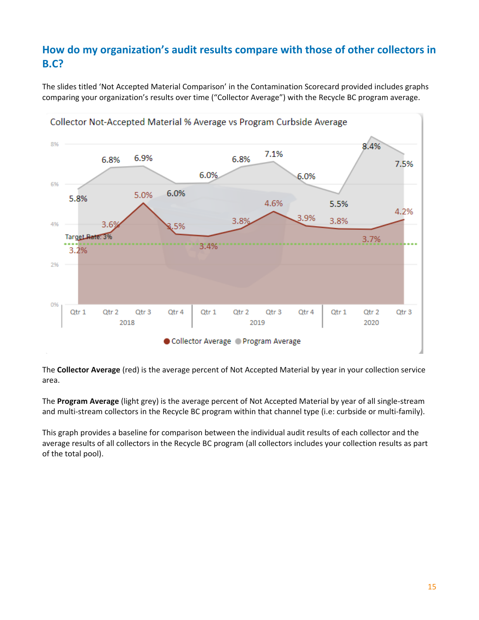## **How do my organization's audit results compare with those of other collectors in B.C?**

The slides titled 'Not Accepted Material Comparison' in the Contamination Scorecard provided includes graphs comparing your organization's results over time ("Collector Average") with the Recycle BC program average.



The **Collector Average** (red) is the average percent of Not Accepted Material by year in your collection service area.

The **Program Average** (light grey) is the average percent of Not Accepted Material by year of all single-stream and multi-stream collectors in the Recycle BC program within that channel type (i.e: curbside or multi-family).

This graph provides a baseline for comparison between the individual audit results of each collector and the average results of all collectors in the Recycle BC program (all collectors includes your collection results as part of the total pool).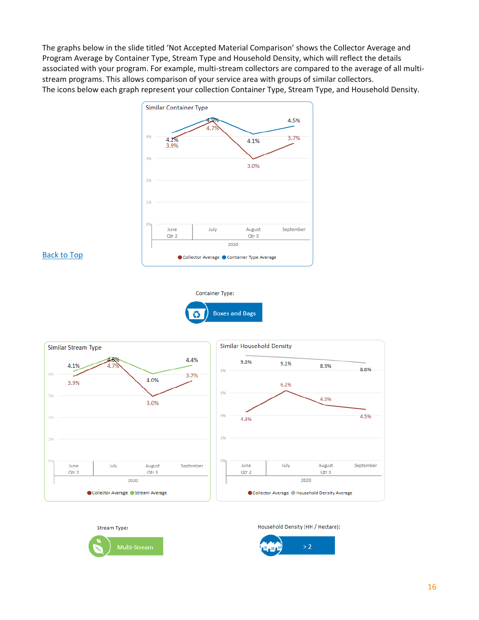The graphs below in the slide titled 'Not Accepted Material Comparison' shows the Collector Average and Program Average by Container Type, Stream Type and Household Density, which will reflect the details associated with your program. For example, multi-stream collectors are compared to the average of all multistream programs. This allows comparison of your service area with groups of similar collectors. The icons below each graph represent your collection Container Type, Stream Type, and Household Density.



#### [Back to Top](#page-1-1)









Household Density (HH / Hectare):

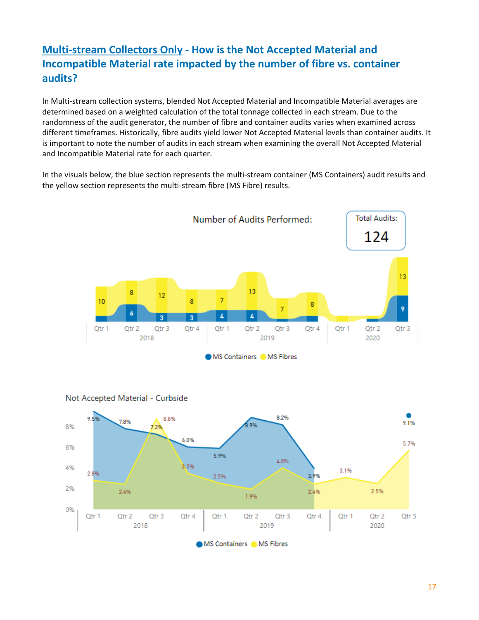# <span id="page-16-0"></span>**Multi-stream Collectors Only - How is the Not Accepted Material and Incompatible Material rate impacted by the number of fibre vs. container audits?**

In Multi-stream collection systems, blended Not Accepted Material and Incompatible Material averages are determined based on a weighted calculation of the total tonnage collected in each stream. Due to the randomness of the audit generator, the number of fibre and container audits varies when examined across different timeframes. Historically, fibre audits yield lower Not Accepted Material levels than container audits. It is important to note the number of audits in each stream when examining the overall Not Accepted Material and Incompatible Material rate for each quarter.

In the visuals below, the blue section represents the multi-stream container (MS Containers) audit results and the yellow section represents the multi-stream fibre (MS Fibre) results.

![](_page_16_Figure_3.jpeg)

![](_page_16_Figure_4.jpeg)

Not Accepted Material - Curbside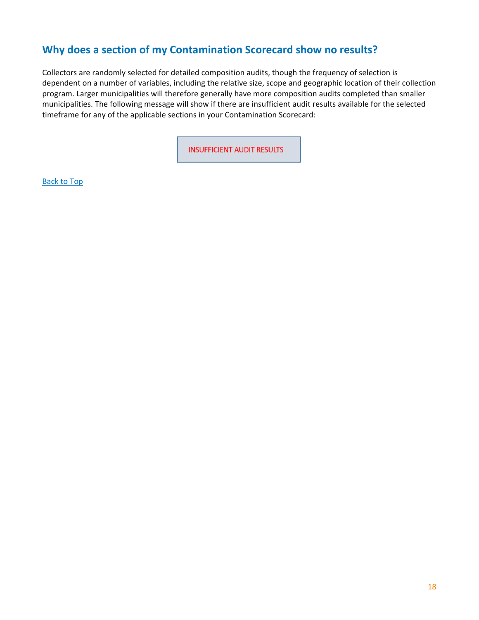## <span id="page-17-0"></span>**Why does a section of my Contamination Scorecard show no results?**

Collectors are randomly selected for detailed composition audits, though the frequency of selection is dependent on a number of variables, including the relative size, scope and geographic location of their collection program. Larger municipalities will therefore generally have more composition audits completed than smaller municipalities. The following message will show if there are insufficient audit results available for the selected timeframe for any of the applicable sections in your Contamination Scorecard:

**INSUFFICIENT AUDIT RESULTS**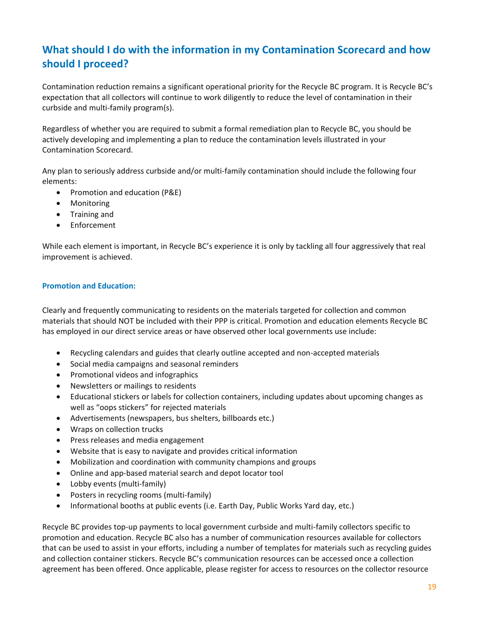# <span id="page-18-0"></span>**What should I do with the information in my Contamination Scorecard and how should I proceed?**

Contamination reduction remains a significant operational priority for the Recycle BC program. It is Recycle BC's expectation that all collectors will continue to work diligently to reduce the level of contamination in their curbside and multi-family program(s).

Regardless of whether you are required to submit a formal remediation plan to Recycle BC, you should be actively developing and implementing a plan to reduce the contamination levels illustrated in your Contamination Scorecard.

Any plan to seriously address curbside and/or multi-family contamination should include the following four elements:

- Promotion and education (P&E)
- Monitoring
- Training and
- Enforcement

While each element is important, in Recycle BC's experience it is only by tackling all four aggressively that real improvement is achieved.

#### **Promotion and Education:**

Clearly and frequently communicating to residents on the materials targeted for collection and common materials that should NOT be included with their PPP is critical. Promotion and education elements Recycle BC has employed in our direct service areas or have observed other local governments use include:

- Recycling calendars and guides that clearly outline accepted and non-accepted materials
- Social media campaigns and seasonal reminders
- Promotional videos and infographics
- Newsletters or mailings to residents
- Educational stickers or labels for collection containers, including updates about upcoming changes as well as "oops stickers" for rejected materials
- Advertisements (newspapers, bus shelters, billboards etc.)
- Wraps on collection trucks
- Press releases and media engagement
- Website that is easy to navigate and provides critical information
- Mobilization and coordination with community champions and groups
- Online and app-based material search and depot locator tool
- Lobby events (multi-family)
- Posters in recycling rooms (multi-family)
- Informational booths at public events (i.e. Earth Day, Public Works Yard day, etc.)

Recycle BC provides top-up payments to local government curbside and multi-family collectors specific to promotion and education. Recycle BC also has a number of communication resources available for collectors that can be used to assist in your efforts, including a number of templates for materials such as recycling guides and collection container stickers. Recycle BC's communication resources can be accessed once a collection agreement has been offered. Once applicable, please register for access to resources on the collector resource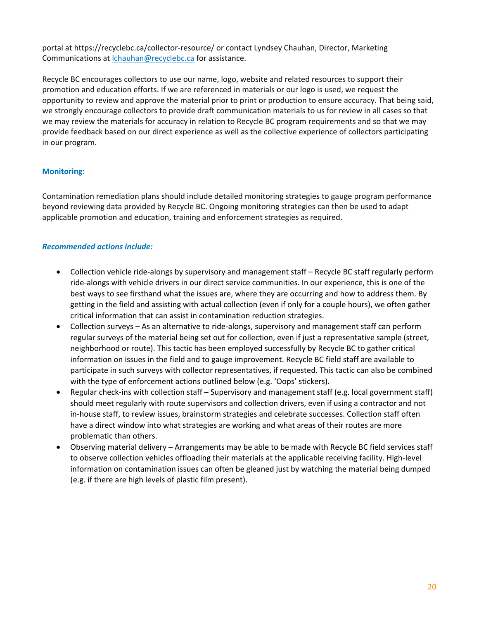portal at https://recyclebc.ca/collector-resource/ or contact Lyndsey Chauhan, Director, Marketing Communications at *chauhan@recyclebc.ca* for assistance.

Recycle BC encourages collectors to use our name, logo, website and related resources to support their promotion and education efforts. If we are referenced in materials or our logo is used, we request the opportunity to review and approve the material prior to print or production to ensure accuracy. That being said, we strongly encourage collectors to provide draft communication materials to us for review in all cases so that we may review the materials for accuracy in relation to Recycle BC program requirements and so that we may provide feedback based on our direct experience as well as the collective experience of collectors participating in our program.

#### **Monitoring:**

Contamination remediation plans should include detailed monitoring strategies to gauge program performance beyond reviewing data provided by Recycle BC. Ongoing monitoring strategies can then be used to adapt applicable promotion and education, training and enforcement strategies as required.

#### *Recommended actions include:*

- Collection vehicle ride-alongs by supervisory and management staff Recycle BC staff regularly perform ride-alongs with vehicle drivers in our direct service communities. In our experience, this is one of the best ways to see firsthand what the issues are, where they are occurring and how to address them. By getting in the field and assisting with actual collection (even if only for a couple hours), we often gather critical information that can assist in contamination reduction strategies.
- Collection surveys As an alternative to ride-alongs, supervisory and management staff can perform regular surveys of the material being set out for collection, even if just a representative sample (street, neighborhood or route). This tactic has been employed successfully by Recycle BC to gather critical information on issues in the field and to gauge improvement. Recycle BC field staff are available to participate in such surveys with collector representatives, if requested. This tactic can also be combined with the type of enforcement actions outlined below (e.g. 'Oops' stickers).
- Regular check-ins with collection staff Supervisory and management staff (e.g. local government staff) should meet regularly with route supervisors and collection drivers, even if using a contractor and not in-house staff, to review issues, brainstorm strategies and celebrate successes. Collection staff often have a direct window into what strategies are working and what areas of their routes are more problematic than others.
- Observing material delivery Arrangements may be able to be made with Recycle BC field services staff to observe collection vehicles offloading their materials at the applicable receiving facility. High-level information on contamination issues can often be gleaned just by watching the material being dumped (e.g. if there are high levels of plastic film present).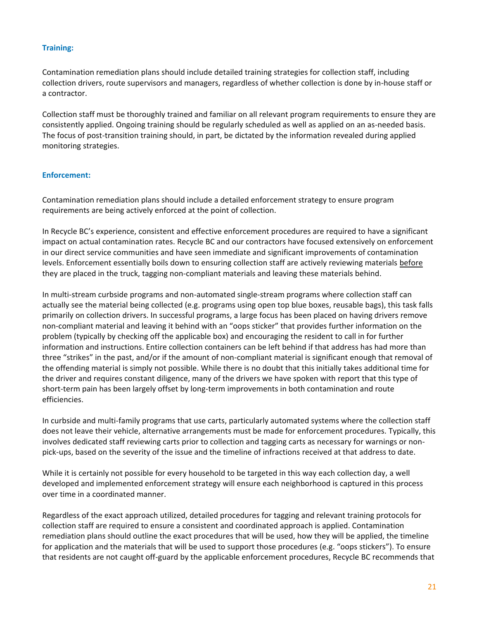#### **Training:**

Contamination remediation plans should include detailed training strategies for collection staff, including collection drivers, route supervisors and managers, regardless of whether collection is done by in-house staff or a contractor.

Collection staff must be thoroughly trained and familiar on all relevant program requirements to ensure they are consistently applied. Ongoing training should be regularly scheduled as well as applied on an as-needed basis. The focus of post-transition training should, in part, be dictated by the information revealed during applied monitoring strategies.

#### **Enforcement:**

Contamination remediation plans should include a detailed enforcement strategy to ensure program requirements are being actively enforced at the point of collection.

In Recycle BC's experience, consistent and effective enforcement procedures are required to have a significant impact on actual contamination rates. Recycle BC and our contractors have focused extensively on enforcement in our direct service communities and have seen immediate and significant improvements of contamination levels. Enforcement essentially boils down to ensuring collection staff are actively reviewing materials before they are placed in the truck, tagging non-compliant materials and leaving these materials behind.

In multi-stream curbside programs and non-automated single-stream programs where collection staff can actually see the material being collected (e.g. programs using open top blue boxes, reusable bags), this task falls primarily on collection drivers. In successful programs, a large focus has been placed on having drivers remove non-compliant material and leaving it behind with an "oops sticker" that provides further information on the problem (typically by checking off the applicable box) and encouraging the resident to call in for further information and instructions. Entire collection containers can be left behind if that address has had more than three "strikes" in the past, and/or if the amount of non-compliant material is significant enough that removal of the offending material is simply not possible. While there is no doubt that this initially takes additional time for the driver and requires constant diligence, many of the drivers we have spoken with report that this type of short-term pain has been largely offset by long-term improvements in both contamination and route efficiencies.

In curbside and multi-family programs that use carts, particularly automated systems where the collection staff does not leave their vehicle, alternative arrangements must be made for enforcement procedures. Typically, this involves dedicated staff reviewing carts prior to collection and tagging carts as necessary for warnings or nonpick-ups, based on the severity of the issue and the timeline of infractions received at that address to date.

While it is certainly not possible for every household to be targeted in this way each collection day, a well developed and implemented enforcement strategy will ensure each neighborhood is captured in this process over time in a coordinated manner.

Regardless of the exact approach utilized, detailed procedures for tagging and relevant training protocols for collection staff are required to ensure a consistent and coordinated approach is applied. Contamination remediation plans should outline the exact procedures that will be used, how they will be applied, the timeline for application and the materials that will be used to support those procedures (e.g. "oops stickers"). To ensure that residents are not caught off-guard by the applicable enforcement procedures, Recycle BC recommends that